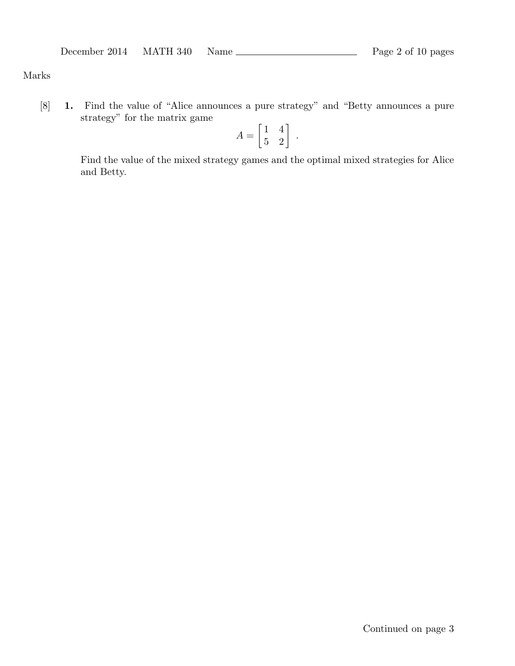#### Marks

[8] 1. Find the value of "Alice announces a pure strategy" and "Betty announces a pure strategy" for the matrix game

$$
A = \begin{bmatrix} 1 & 4 \\ 5 & 2 \end{bmatrix} .
$$

Find the value of the mixed strategy games and the optimal mixed strategies for Alice and Betty.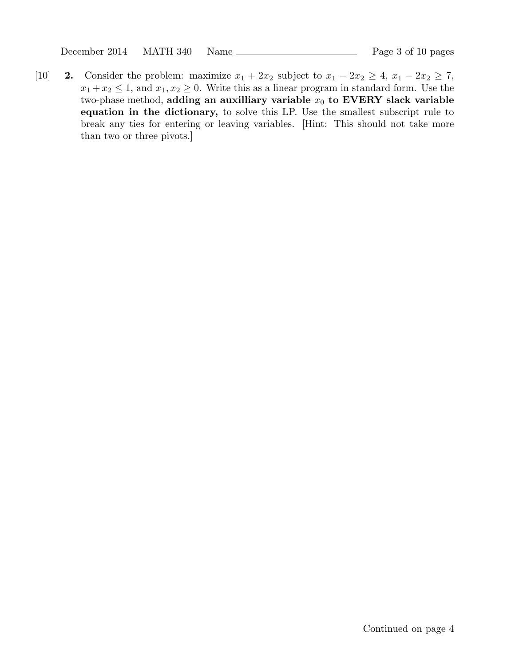December 2014 MATH 340 Name Page 3 of 10 pages

[10] **2.** Consider the problem: maximize  $x_1 + 2x_2$  subject to  $x_1 - 2x_2 \ge 4$ ,  $x_1 - 2x_2 \ge 7$ ,  $x_1 + x_2 \leq 1$ , and  $x_1, x_2 \geq 0$ . Write this as a linear program in standard form. Use the two-phase method, adding an auxilliary variable  $x_0$  to EVERY slack variable equation in the dictionary, to solve this LP. Use the smallest subscript rule to break any ties for entering or leaving variables. [Hint: This should not take more than two or three pivots.]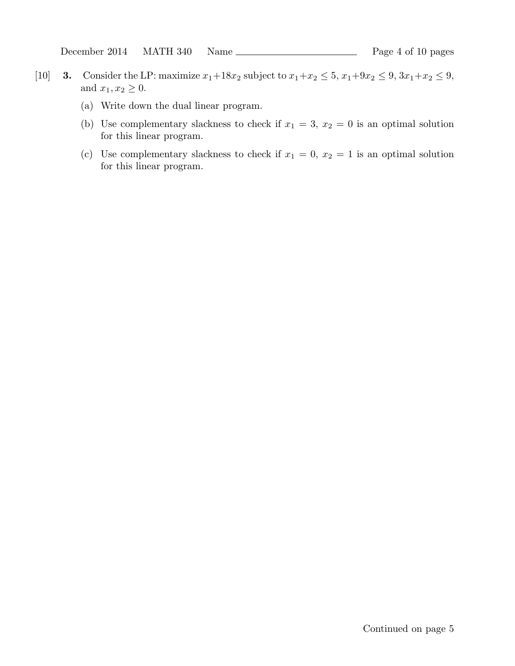December 2014 MATH 340 Name Page 4 of 10 pages

- [10] **3.** Consider the LP: maximize  $x_1+18x_2$  subject to  $x_1+x_2 \le 5$ ,  $x_1+9x_2 \le 9$ ,  $3x_1+x_2 \le 9$ , and  $x_1, x_2 \ge 0$ .
	- (a) Write down the dual linear program.
	- (b) Use complementary slackness to check if  $x_1 = 3, x_2 = 0$  is an optimal solution for this linear program.
	- (c) Use complementary slackness to check if  $x_1 = 0, x_2 = 1$  is an optimal solution for this linear program.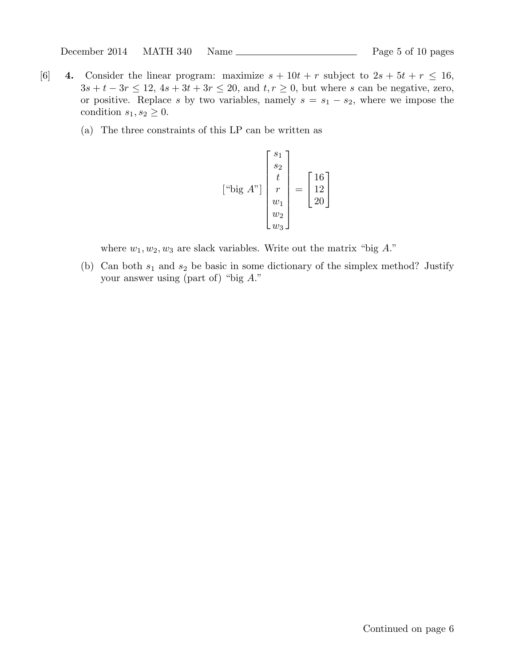December 2014 MATH 340 Name Page 5 of 10 pages

- [6] 4. Consider the linear program: maximize  $s + 10t + r$  subject to  $2s + 5t + r \le 16$ ,  $3s + t - 3r \le 12$ ,  $4s + 3t + 3r \le 20$ , and  $t, r \ge 0$ , but where s can be negative, zero, or positive. Replace s by two variables, namely  $s = s_1 - s_2$ , where we impose the condition  $s_1, s_2 \geq 0$ .
	- (a) The three constraints of this LP can be written as

$$
\begin{bmatrix}\n\text{``big } A\text{''}\n\end{bmatrix}\n\begin{bmatrix}\n s_1 \\
t \\
r \\
w_1 \\
w_2 \\
w_3\n\end{bmatrix} =\n\begin{bmatrix}\n 16 \\
12 \\
20\n\end{bmatrix}
$$

where  $w_1, w_2, w_3$  are slack variables. Write out the matrix "big A."

(b) Can both  $s_1$  and  $s_2$  be basic in some dictionary of the simplex method? Justify your answer using (part of) "big A."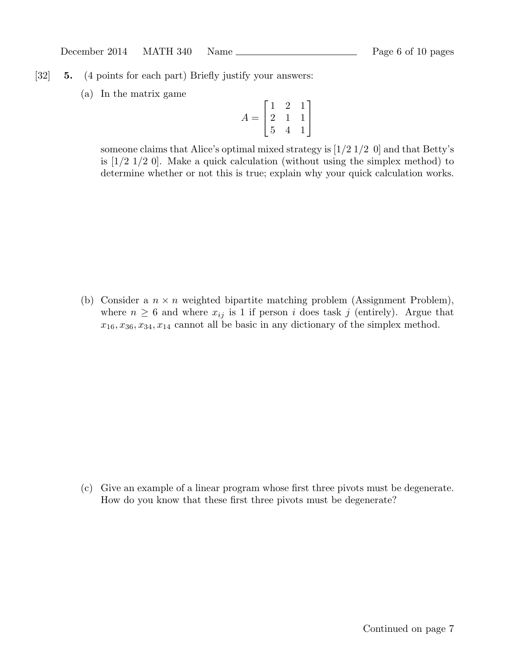- [32] 5. (4 points for each part) Briefly justify your answers:
	- (a) In the matrix game

$$
A = \begin{bmatrix} 1 & 2 & 1 \\ 2 & 1 & 1 \\ 5 & 4 & 1 \end{bmatrix}
$$

someone claims that Alice's optimal mixed strategy is  $[1/2 1/2 0]$  and that Betty's is [1/2 1/2 0]. Make a quick calculation (without using the simplex method) to determine whether or not this is true; explain why your quick calculation works.

(b) Consider a  $n \times n$  weighted bipartite matching problem (Assignment Problem), where  $n \geq 6$  and where  $x_{ij}$  is 1 if person i does task j (entirely). Argue that  $x_{16}, x_{36}, x_{34}, x_{14}$  cannot all be basic in any dictionary of the simplex method.

(c) Give an example of a linear program whose first three pivots must be degenerate. How do you know that these first three pivots must be degenerate?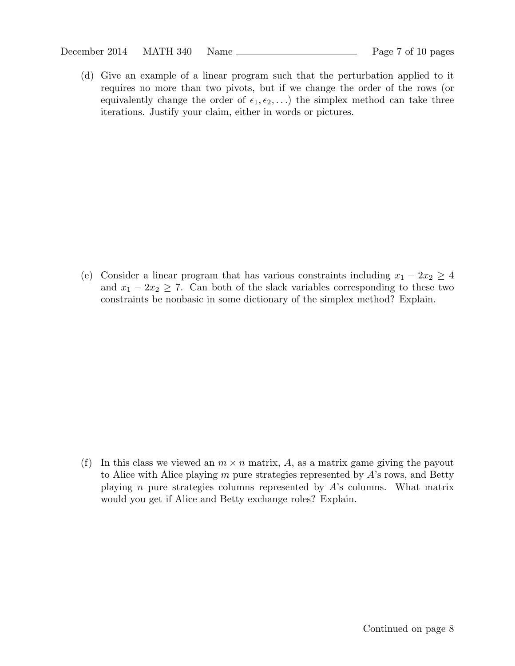December 2014 MATH 340 Name Page 7 of 10 pages

(d) Give an example of a linear program such that the perturbation applied to it requires no more than two pivots, but if we change the order of the rows (or equivalently change the order of  $\epsilon_1, \epsilon_2, \ldots$ ) the simplex method can take three iterations. Justify your claim, either in words or pictures.

(e) Consider a linear program that has various constraints including  $x_1 - 2x_2 \geq 4$ and  $x_1 - 2x_2 \ge 7$ . Can both of the slack variables corresponding to these two constraints be nonbasic in some dictionary of the simplex method? Explain.

(f) In this class we viewed an  $m \times n$  matrix, A, as a matrix game giving the payout to Alice with Alice playing  $m$  pure strategies represented by  $A$ 's rows, and Betty playing n pure strategies columns represented by A's columns. What matrix would you get if Alice and Betty exchange roles? Explain.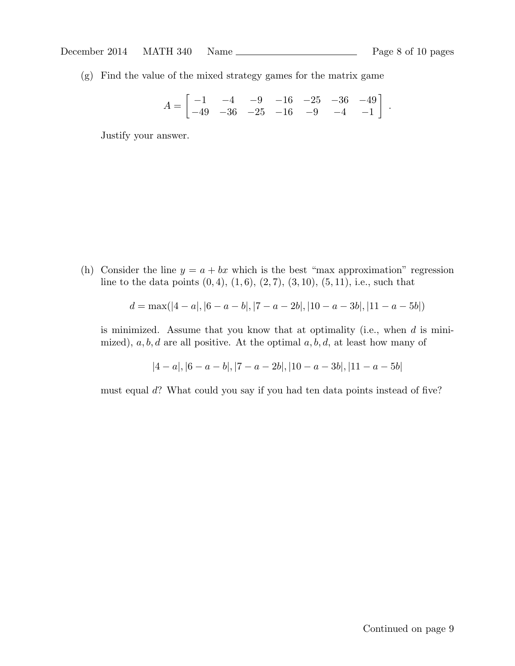.

(g) Find the value of the mixed strategy games for the matrix game

 $A =$  $\begin{bmatrix} -1 & -4 & -9 & -16 & -25 & -36 & -49 \end{bmatrix}$  $-49$   $-36$   $-25$   $-16$   $-9$   $-4$   $-1$ 1

Justify your answer.

(h) Consider the line  $y = a + bx$  which is the best "max approximation" regression line to the data points  $(0, 4)$ ,  $(1, 6)$ ,  $(2, 7)$ ,  $(3, 10)$ ,  $(5, 11)$ , i.e., such that

$$
d = \max(|4 - a|, |6 - a - b|, |7 - a - 2b|, |10 - a - 3b|, |11 - a - 5b|)
$$

is minimized. Assume that you know that at optimality (i.e., when  $d$  is minimized),  $a, b, d$  are all positive. At the optimal  $a, b, d$ , at least how many of

 $|4 - a|$ ,  $|6 - a - b|$ ,  $|7 - a - 2b|$ ,  $|10 - a - 3b|$ ,  $|11 - a - 5b|$ 

must equal d? What could you say if you had ten data points instead of five?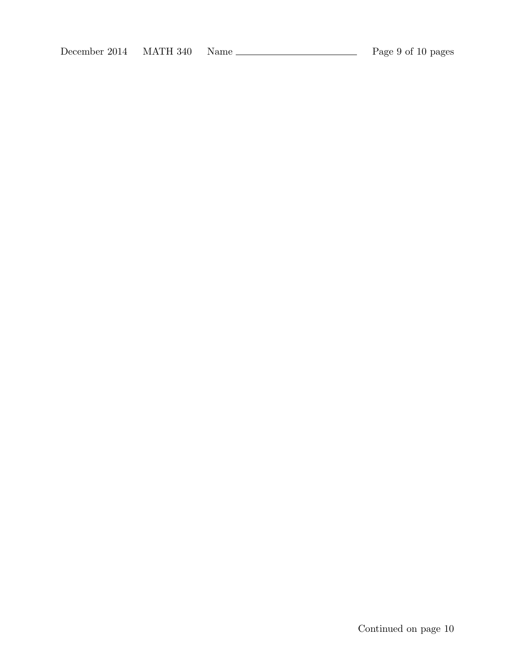Continued on page 10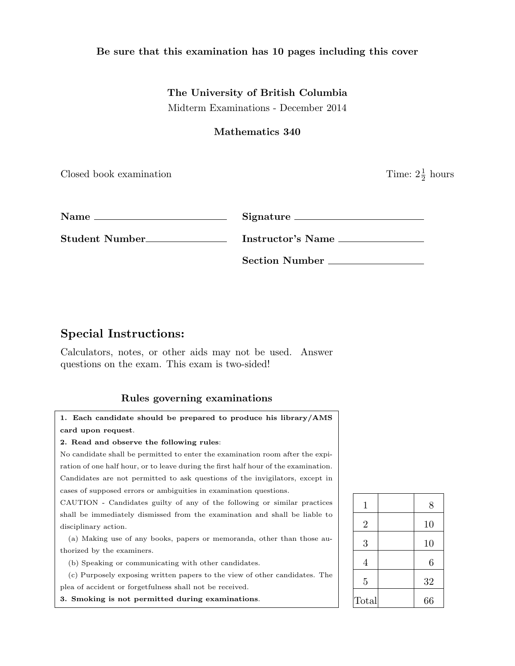## Be sure that this examination has 10 pages including this cover

## The University of British Columbia

Midterm Examinations - December 2014

### Mathematics 340

Closed book examination

 $\frac{1}{2}$  hours

| <b>Name</b>           | $Signature \_\_\_\_\_\_\_$ |  |
|-----------------------|----------------------------|--|
| <b>Student Number</b> | Instructor's Name          |  |
|                       | <b>Section Number</b>      |  |

# Special Instructions:

Calculators, notes, or other aids may not be used. Answer questions on the exam. This exam is two-sided!

### Rules governing examinations

| 1. Each candidate should be prepared to produce his library/AMS                     |  |  |
|-------------------------------------------------------------------------------------|--|--|
| card upon request.                                                                  |  |  |
| 2. Read and observe the following rules:                                            |  |  |
| No candidate shall be permitted to enter the examination room after the expi-       |  |  |
| ration of one half hour, or to leave during the first half hour of the examination. |  |  |
| Candidates are not permitted to ask questions of the invigilators, except in        |  |  |
| cases of supposed errors or ambiguities in examination questions.                   |  |  |
| CAUTION - Candidates guilty of any of the following or similar practices            |  |  |
| shall be immediately dismissed from the examination and shall be liable to          |  |  |
| disciplinary action.                                                                |  |  |
| (a) Making use of any books, papers or memoranda, other than those au-              |  |  |
| thorized by the examiners.                                                          |  |  |
| (b) Speaking or communicating with other candidates.                                |  |  |
| (c) Purposely exposing written papers to the view of other candidates. The          |  |  |
| plea of accident or forgetfulness shall not be received.                            |  |  |
| 3. Smoking is not permitted during examinations.                                    |  |  |

| 1              | 8  |
|----------------|----|
| $\overline{2}$ | 10 |
| 3              | 10 |
| $\overline{4}$ | 6  |
| $\overline{5}$ | 32 |
| Total          | 66 |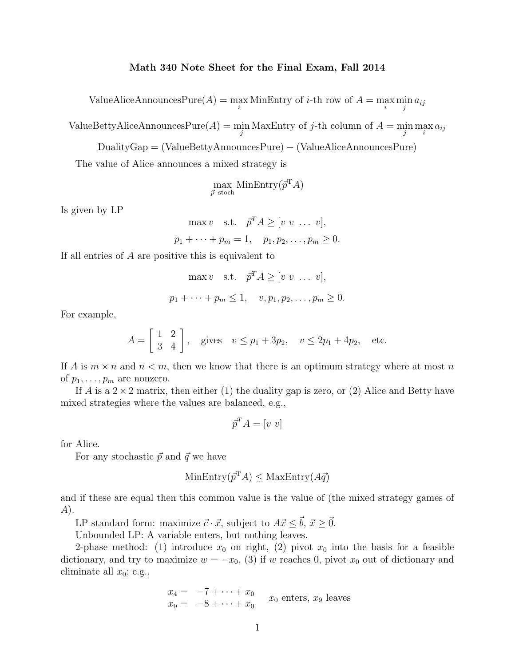#### Math 340 Note Sheet for the Final Exam, Fall 2014

ValueAliceAnnounces $P$ ure $(A) = \max_i$ MinEntry of *i*-th row of  $A = \max_i \min_j a_{ij}$ 

ValueBettyAliceAnnouncesPure $(A) = \min_j \text{MaxEntry}$  of j-th column of  $A = \min_j \max_i a_{ij}$ 

DualityGap = (ValueBettyAnnouncesPure) − (ValueAliceAnnouncesPure)

The value of Alice announces a mixed strategy is

$$
\max_{\vec{p} \text{ stoch}} \text{MinEntry}(\vec{p}^T A)
$$

Is given by LP

$$
\max v \text{ s.t. } \bar{p}^T A \geq [v \ v \ \dots \ v],
$$
  

$$
p_1 + \dots + p_m = 1, \quad p_1, p_2, \dots, p_m \geq 0.
$$

If all entries of A are positive this is equivalent to

$$
\max v \text{ s.t. } \bar{p}^T A \geq [v \ v \ \dots \ v],
$$
  

$$
p_1 + \dots + p_m \leq 1, \quad v, p_1, p_2, \dots, p_m \geq 0.
$$

For example,

$$
A = \begin{bmatrix} 1 & 2 \\ 3 & 4 \end{bmatrix}
$$
, gives  $v \le p_1 + 3p_2$ ,  $v \le 2p_1 + 4p_2$ , etc.

If A is  $m \times n$  and  $n < m$ , then we know that there is an optimum strategy where at most n of  $p_1, \ldots, p_m$  are nonzero.

If A is a  $2 \times 2$  matrix, then either (1) the duality gap is zero, or (2) Alice and Betty have mixed strategies where the values are balanced, e.g.,

$$
\vec{p}^T A = [v \ v]
$$

for Alice.

For any stochastic  $\vec{p}$  and  $\vec{q}$  we have

$$
MinEntry(\vec{p}^T A) \leq MaxEntry(A\vec{q})
$$

and if these are equal then this common value is the value of (the mixed strategy games of A).

LP standard form: maximize  $\vec{c} \cdot \vec{x}$ , subject to  $A\vec{x} \leq \vec{b}$ ,  $\vec{x} > \vec{0}$ .

Unbounded LP: A variable enters, but nothing leaves.

2-phase method: (1) introduce  $x_0$  on right, (2) pivot  $x_0$  into the basis for a feasible dictionary, and try to maximize  $w = -x_0$ , (3) if w reaches 0, pivot  $x_0$  out of dictionary and eliminate all  $x_0$ ; e.g.,

$$
x_4 = -7 + \cdots + x_0
$$
  
\n
$$
x_9 = -8 + \cdots + x_0
$$
 x\_0 enters, x\_9 leaves